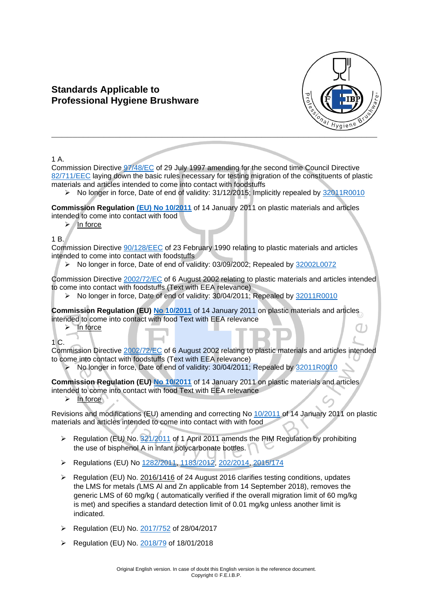# **Standards Applicable to Professional Hygiene Brushware**



1 A.

Commission Directive [97/48/EC](https://eur-lex.europa.eu/legal-content/EN/TXT/?qid=1598536618209&uri=CELEX:31997L0048) of 29 July 1997 amending for the second time Council Directive [82/711/EEC](https://eur-lex.europa.eu/legal-content/EN/TXT/?qid=1598536654598&uri=CELEX:31982L0711) laying down the basic rules necessary for testing migration of the constituents of plastic materials and articles intended to come into contact with foodstuffs

➢ No longer in force, Date of end of validity: 31/12/2015; Implicitly repealed by [32011R0010](https://eur-lex.europa.eu/legal-content/en/AUTO/?uri=CELEX:32011R0010)

**Commission Regulation [\(EU\) No](https://eur-lex.europa.eu/legal-content/EN/TXT/?qid=1598535860914&uri=CELEX:32011R0010) 10/2011** of 14 January 2011 on plastic materials and articles intended to come into contact with food

➢ In force

1 B.

Commission Directive [90/128/EEC](https://eur-lex.europa.eu/legal-content/EN/TXT/?qid=1598535949382&uri=CELEX:31990L0128) of 23 February 1990 relating to plastic materials and articles intended to come into contact with foodstuffs

➢ No longer in force, Date of end of validity: 03/09/2002; Repealed by [32002L0072](https://eur-lex.europa.eu/legal-content/en/AUTO/?uri=CELEX:32002L0072)

Commission Directive [2002/72/EC](https://eur-lex.europa.eu/legal-content/EN/TXT/?qid=1598536064716&uri=CELEX:32002L0072) of 6 August 2002 relating to plastic materials and articles intended to come into contact with foodstuffs (Text with EEA relevance)

➢ No longer in force, Date of end of validity: 30/04/2011; Repealed by [32011R0010](https://eur-lex.europa.eu/legal-content/en/AUTO/?uri=CELEX:32011R0010)

**Commission Regulation (EU) No [10/2011](https://eur-lex.europa.eu/legal-content/EN/TXT/?qid=1598536113240&uri=CELEX:32011R0010)** of 14 January 2011 on plastic materials and articles intended to come into contact with food Text with EEA relevance

➢ In force

1 C.

Commission Directive [2002/72/EC](https://eur-lex.europa.eu/legal-content/EN/TXT/?qid=1598536175296&uri=CELEX:32002L0072) of 6 August 2002 relating to plastic materials and articles intended to come into contact with foodstuffs (Text with EEA relevance)

➢ No longer in force, Date of end of validity: 30/04/2011; Repealed by [32011R0010](https://eur-lex.europa.eu/legal-content/en/AUTO/?uri=CELEX:32011R0010)

**Commission Regulation (EU) No [10/2011](https://eur-lex.europa.eu/legal-content/EN/TXT/?qid=1598536113240&uri=CELEX:32011R0010)** of 14 January 2011 on plastic materials and articles intended to come into contact with food Text with EEA relevance

➢ In force

Revisions and modifications (EU) amending and correcting No [10/2011](https://eur-lex.europa.eu/legal-content/EN/TXT/?qid=1598536113240&uri=CELEX:32011R0010) of 14 January 2011 on plastic materials and articles intended to come into contact with with food

- ➢ Regulation (EU*)* No. [321/2011](https://eur-lex.europa.eu/legal-content/EN/TXT/?qid=1598536731373&uri=CELEX:32011R0321) of 1 April 2011 amends the PIM Regulation by prohibiting the use of bisphenol A in infant polycarbonate bottles.
- ➢ Regulations (EU) No [1282/2011,](https://eur-lex.europa.eu/legal-content/EN/TXT/?qid=1598536781210&uri=CELEX:32011R1282) [1183/2012,](https://eur-lex.europa.eu/legal-content/EN/TXT/?qid=1598536821494&uri=CELEX:32012R1183) [202/2014,](https://eur-lex.europa.eu/legal-content/EN/TXT/?qid=1598536875982&uri=CELEX:32014R0202) [2015/174](https://eur-lex.europa.eu/legal-content/EN/TXT/?qid=1598536907616&uri=CELEX:32015R0174)
- ➢ Regulation (EU) No. 2016/1416 of 24 August 2016 clarifies testing conditions, updates the LMS for metals *(*LMS Al and Zn applicable from 14 September 2018), removes the generic LMS of 60 mg/kg ( automatically verified if the overall migration limit of 60 mg/kg is met) and specifies a standard detection limit of 0.01 mg/kg unless another limit is indicated.
- ➢ Regulation (EU) No. [2017/752](https://eur-lex.europa.eu/legal-content/EN/TXT/?qid=1598537771279&uri=CELEX:32017R0752) of 28/04/2017
- ➢ Regulation (EU) No. [2018/79](https://eur-lex.europa.eu/legal-content/EN/TXT/?qid=1598537840823&uri=CELEX:32018R0079) of 18/01/2018